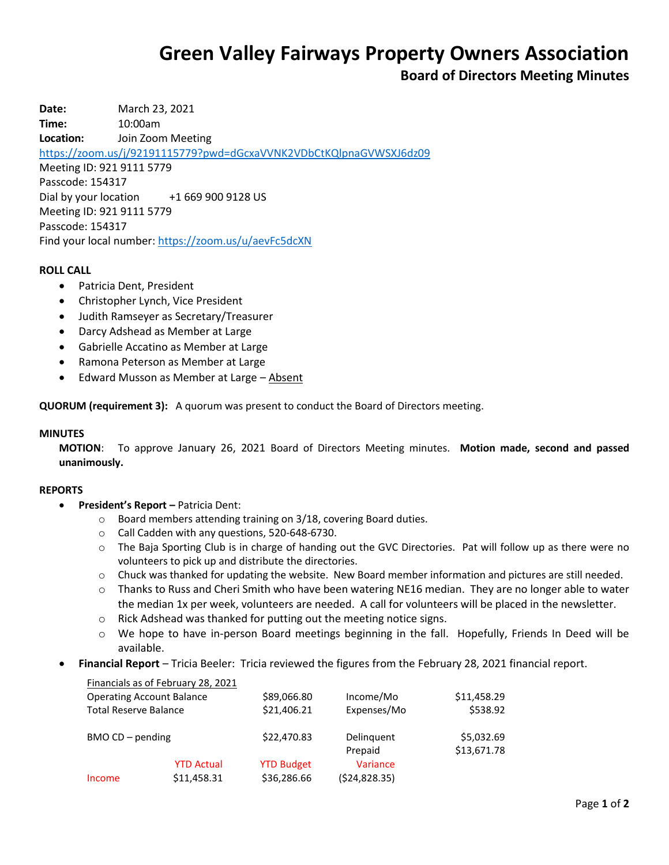# **Green Valley Fairways Property Owners Association**

# **Board of Directors Meeting Minutes**

**Date:** March 23, 2021 **Time:** 10:00am **Location:** Join Zoom Meeting <https://zoom.us/j/92191115779?pwd=dGcxaVVNK2VDbCtKQlpnaGVWSXJ6dz09> Meeting ID: 921 9111 5779 Passcode: 154317 Dial by your location +1 669 900 9128 US Meeting ID: 921 9111 5779 Passcode: 154317 Find your local number[: https://zoom.us/u/aevFc5dcXN](https://zoom.us/u/aevFc5dcXN)

# **ROLL CALL**

- Patricia Dent, President
- Christopher Lynch, Vice President
- Judith Ramseyer as Secretary/Treasurer
- Darcy Adshead as Member at Large
- Gabrielle Accatino as Member at Large
- Ramona Peterson as Member at Large
- Edward Musson as Member at Large Absent

**QUORUM (requirement 3):** A quorum was present to conduct the Board of Directors meeting.

### **MINUTES**

**MOTION**: To approve January 26, 2021 Board of Directors Meeting minutes. **Motion made, second and passed unanimously.**

#### **REPORTS**

- **President's Report –** Patricia Dent:
	- o Board members attending training on 3/18, covering Board duties.
	- o Call Cadden with any questions, 520-648-6730.
	- o The Baja Sporting Club is in charge of handing out the GVC Directories. Pat will follow up as there were no volunteers to pick up and distribute the directories.
	- o Chuck was thanked for updating the website. New Board member information and pictures are still needed.
	- $\circ$  Thanks to Russ and Cheri Smith who have been watering NE16 median. They are no longer able to water the median 1x per week, volunteers are needed. A call for volunteers will be placed in the newsletter.
	- o Rick Adshead was thanked for putting out the meeting notice signs.
	- $\circ$  We hope to have in-person Board meetings beginning in the fall. Hopefully, Friends In Deed will be available.
- **Financial Report** Tricia Beeler: Tricia reviewed the figures from the February 28, 2021 financial report.

|                                  | Financials as of February 28, 2021 |                   |               |             |
|----------------------------------|------------------------------------|-------------------|---------------|-------------|
| <b>Operating Account Balance</b> |                                    | \$89,066.80       | Income/Mo     | \$11,458.29 |
| <b>Total Reserve Balance</b>     |                                    | \$21,406.21       | Expenses/Mo   | \$538.92    |
| $BMOCD - pending$                |                                    | \$22,470.83       | Delinguent    | \$5,032.69  |
|                                  |                                    |                   | Prepaid       | \$13,671.78 |
|                                  | <b>YTD Actual</b>                  | <b>YTD Budget</b> | Variance      |             |
| Income                           | \$11,458.31                        | \$36,286.66       | (524, 828.35) |             |